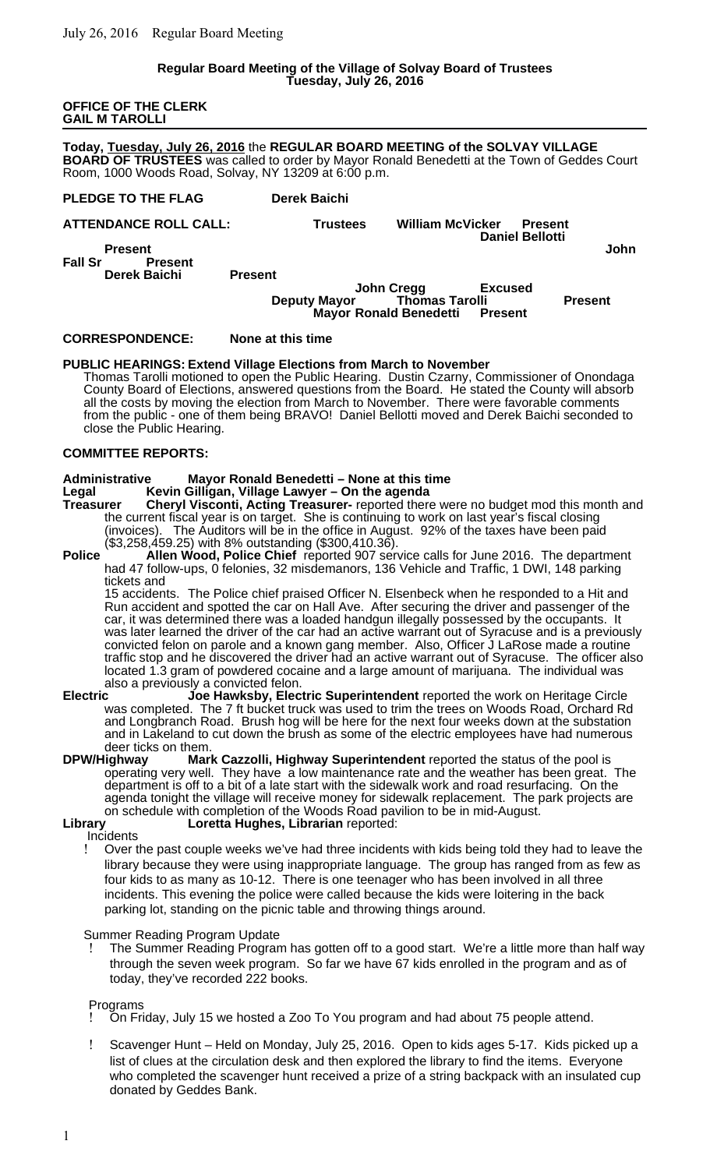### **Regular Board Meeting of the Village of Solvay Board of Trustees Tuesday, July 26, 2016**

**OFFICE OF THE CLERK GAIL M TAROLLI**

**Today, Tuesday, July 26, 2016** the **REGULAR BOARD MEETING of the SOLVAY VILLAGE BOARD OF TRUSTEES** was called to order by Mayor Ronald Benedetti at the Town of Geddes Court Room, 1000 Woods Road, Solvay, NY 13209 at 6:00 p.m.

| PLEDGE TO THE FLAG               | <b>Derek Baichi</b> |                                                      |                         |                                          |                |
|----------------------------------|---------------------|------------------------------------------------------|-------------------------|------------------------------------------|----------------|
| <b>ATTENDANCE ROLL CALL:</b>     |                     | <b>Trustees</b>                                      | <b>William McVicker</b> | <b>Present</b><br><b>Daniel Bellotti</b> |                |
| <b>Present</b>                   |                     |                                                      |                         |                                          | John           |
| <b>Fall Sr</b><br><b>Present</b> |                     |                                                      |                         |                                          |                |
| <b>Derek Baichi</b>              | <b>Present</b>      |                                                      |                         |                                          |                |
|                                  |                     | <b>John Cregg</b>                                    |                         | <b>Excused</b>                           |                |
|                                  |                     | <b>Deputy Mayor</b><br><b>Mayor Ronald Benedetti</b> | <b>Thomas Tarolli</b>   | Present                                  | <b>Present</b> |
|                                  |                     |                                                      |                         |                                          |                |

### **CORRESPONDENCE: None at this time**

### **PUBLIC HEARINGS: Extend Village Elections from March to November**

Thomas Tarolli motioned to open the Public Hearing. Dustin Czarny, Commissioner of Onondaga County Board of Elections, answered questions from the Board. He stated the County will absorb all the costs by moving the election from March to November. There were favorable comments from the public - one of them being BRAVO! Daniel Bellotti moved and Derek Baichi seconded to close the Public Hearing.

# **COMMITTEE REPORTS:**

#### **Administrative Mayor Ronald Benedetti – None at this time Legal Kevin Gilligan, Village Lawyer – On the agenda**

**Treasurer Cheryl Visconti, Acting Treasurer-** reported there were no budget mod this month and the current fiscal year is on target. She is continuing to work on last year's fiscal closing (invoices). The Auditors will be in the office in August. 92% of the taxes have been paid (\$3,258,459.25) with 8% outstanding (\$300,410.36).

**Police Allen Wood, Police Chief** reported 907 service calls for June 2016. The department had 47 follow-ups, 0 felonies, 32 misdemanors, 136 Vehicle and Traffic, 1 DWI, 148 parking tickets and

15 accidents. The Police chief praised Officer N. Elsenbeck when he responded to a Hit and Run accident and spotted the car on Hall Ave. After securing the driver and passenger of the car, it was determined there was a loaded handgun illegally possessed by the occupants. It was later learned the driver of the car had an active warrant out of Syracuse and is a previously convicted felon on parole and a known gang member. Also, Officer J LaRose made a routine traffic stop and he discovered the driver had an active warrant out of Syracuse. The officer also located 1.3 gram of powdered cocaine and a large amount of marijuana. The individual was

- also a previously a convicted felon.<br>**Joe Hawksby, Elec Electric Joe Hawksby, Electric Superintendent** reported the work on Heritage Circle was completed. The 7 ft bucket truck was used to trim the trees on Woods Road, Orchard Rd and Longbranch Road. Brush hog will be here for the next four weeks down at the substation and in Lakeland to cut down the brush as some of the electric employees have had numerous deer ticks on them.
- **DPW/Highway Mark Cazzolli, Highway Superintendent** reported the status of the pool is operating very well. They have a low maintenance rate and the weather has been great. The department is off to a bit of a late start with the sidewalk work and road resurfacing. On the agenda tonight the village will receive money for sidewalk replacement. The park projects are on schedule with completion of the Woods Road pavilion to be in mid-August.<br>Library **Longetta Hughes, Librarian** reported:

# Loretta Hughes, Librarian reported:

### **Incidents**

 Over the past couple weeks we've had three incidents with kids being told they had to leave the library because they were using inappropriate language. The group has ranged from as few as four kids to as many as 10-12. There is one teenager who has been involved in all three incidents. This evening the police were called because the kids were loitering in the back parking lot, standing on the picnic table and throwing things around.

Summer Reading Program Update

The Summer Reading Program has gotten off to a good start. We're a little more than half way through the seven week program. So far we have 67 kids enrolled in the program and as of today, they've recorded 222 books.

# Programs

On Friday, July 15 we hosted a Zoo To You program and had about 75 people attend.

 Scavenger Hunt – Held on Monday, July 25, 2016. Open to kids ages 5-17. Kids picked up a list of clues at the circulation desk and then explored the library to find the items. Everyone who completed the scavenger hunt received a prize of a string backpack with an insulated cup donated by Geddes Bank.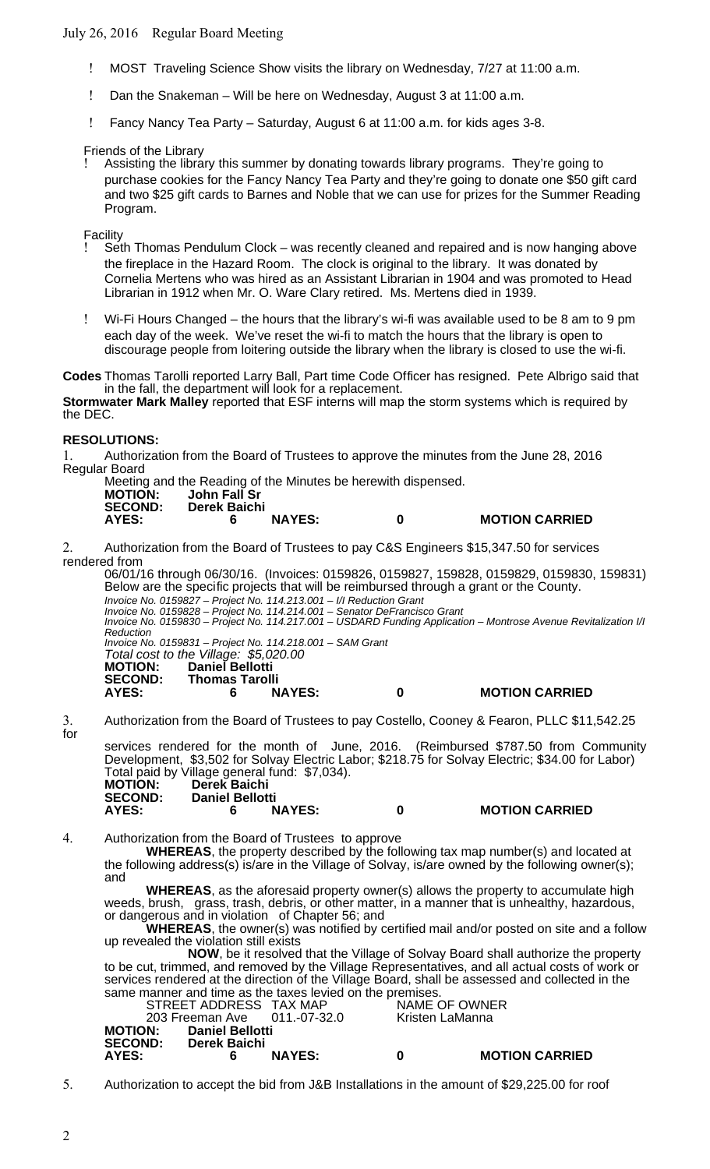# July 26, 2016 Regular Board Meeting

- MOST Traveling Science Show visits the library on Wednesday, 7/27 at 11:00 a.m.
- Dan the Snakeman Will be here on Wednesday, August 3 at 11:00 a.m.
- Fancy Nancy Tea Party Saturday, August 6 at 11:00 a.m. for kids ages 3-8.

# Friends of the Library

 Assisting the library this summer by donating towards library programs. They're going to purchase cookies for the Fancy Nancy Tea Party and they're going to donate one \$50 gift card and two \$25 gift cards to Barnes and Noble that we can use for prizes for the Summer Reading Program.

Facility

- Seth Thomas Pendulum Clock was recently cleaned and repaired and is now hanging above the fireplace in the Hazard Room. The clock is original to the library. It was donated by Cornelia Mertens who was hired as an Assistant Librarian in 1904 and was promoted to Head Librarian in 1912 when Mr. O. Ware Clary retired. Ms. Mertens died in 1939.
- Wi-Fi Hours Changed the hours that the library's wi-fi was available used to be 8 am to 9 pm each day of the week. We've reset the wi-fi to match the hours that the library is open to discourage people from loitering outside the library when the library is closed to use the wi-fi.

**Codes** Thomas Tarolli reported Larry Ball, Part time Code Officer has resigned. Pete Albrigo said that in the fall, the department will look for a replacement.

**Stormwater Mark Malley** reported that ESF interns will map the storm systems which is required by the DEC.

# **RESOLUTIONS:**

1. Authorization from the Board of Trustees to approve the minutes from the June 28, 2016 Regular Board

|                |              |               | Meeting and the Reading of the Minutes be herewith dispensed. |                       |
|----------------|--------------|---------------|---------------------------------------------------------------|-----------------------|
| <b>MOTION:</b> | John Fall Sr |               |                                                               |                       |
| <b>SECOND:</b> | Derek Baichi |               |                                                               |                       |
| AYES:          |              | <b>NAYES:</b> | n                                                             | <b>MOTION CARRIED</b> |

2. Authorization from the Board of Trustees to pay C&S Engineers \$15,347.50 for services rendered from

06/01/16 through 06/30/16. (Invoices: 0159826, 0159827, 159828, 0159829, 0159830, 159831) Below are the specific projects that will be reimbursed through a grant or the County. Invoice No. 0159827 – Project No. 114.213.001 – I/I Reduction Grant Invoice No. 0159828 – Project No. 114.214.001 – Senator DeFrancisco Grant Invoice No. 0159830 – Project No. 114.217.001 – USDARD Funding Application – Montrose Avenue Revitalization I/I Reduction Invoice No. 0159831 – Project No. 114.218.001 – SAM Grant Total cost to the Village: \$5,020.00 **MOTION: Daniel Bellotti SECOND: Thomas Tarolli AYES: 6 NAYES: 0 MOTION CARRIED** 3. Authorization from the Board of Trustees to pay Costello, Cooney & Fearon, PLLC \$11,542.25

for

services rendered for the month of June, 2016. (Reimbursed \$787.50 from Community

|                |                        |                                               |   | Development, \$3,502 for Solvay Electric Labor; \$218.75 for Solvay Electric; \$34.00 for Labor) |  |
|----------------|------------------------|-----------------------------------------------|---|--------------------------------------------------------------------------------------------------|--|
|                |                        | Total paid by Village general fund: \$7,034). |   |                                                                                                  |  |
| <b>MOTION:</b> | Derek Baichi           |                                               |   |                                                                                                  |  |
| <b>SECOND:</b> | <b>Daniel Bellotti</b> |                                               |   |                                                                                                  |  |
| AYES:          |                        | <b>NAYES:</b>                                 | n | <b>MOTION CARRIED</b>                                                                            |  |

4. Authorization from the Board of Trustees to approve

**WHEREAS**, the property described by the following tax map number(s) and located at the following address(s) is/are in the Village of Solvay, is/are owned by the following owner(s); and

**WHEREAS**, as the aforesaid property owner(s) allows the property to accumulate high weeds, brush, grass, trash, debris, or other matter, in a manner that is unhealthy, hazardous, or dangerous and in violation of Chapter 56; and

**WHEREAS**, the owner(s) was notified by certified mail and/or posted on site and a follow up revealed the violation still exists

**NOW**, be it resolved that the Village of Solvay Board shall authorize the property to be cut, trimmed, and removed by the Village Representatives, and all actual costs of work or services rendered at the direction of the Village Board, shall be assessed and collected in the same manner and time as the taxes levied on the premises.

|                                           | STREET ADDRESS TAX MAP                       | 203 Freeman Ave 011.-07-32.0 |   | NAME OF OWNER<br>Kristen LaManna |
|-------------------------------------------|----------------------------------------------|------------------------------|---|----------------------------------|
| <b>MOTION:</b><br><b>SECOND:</b><br>AYES: | <b>Daniel Bellotti</b><br>Derek Baichi<br>6. | <b>NAYES:</b>                | n | <b>MOTION CARRIED</b>            |

5. Authorization to accept the bid from J&B Installations in the amount of \$29,225.00 for roof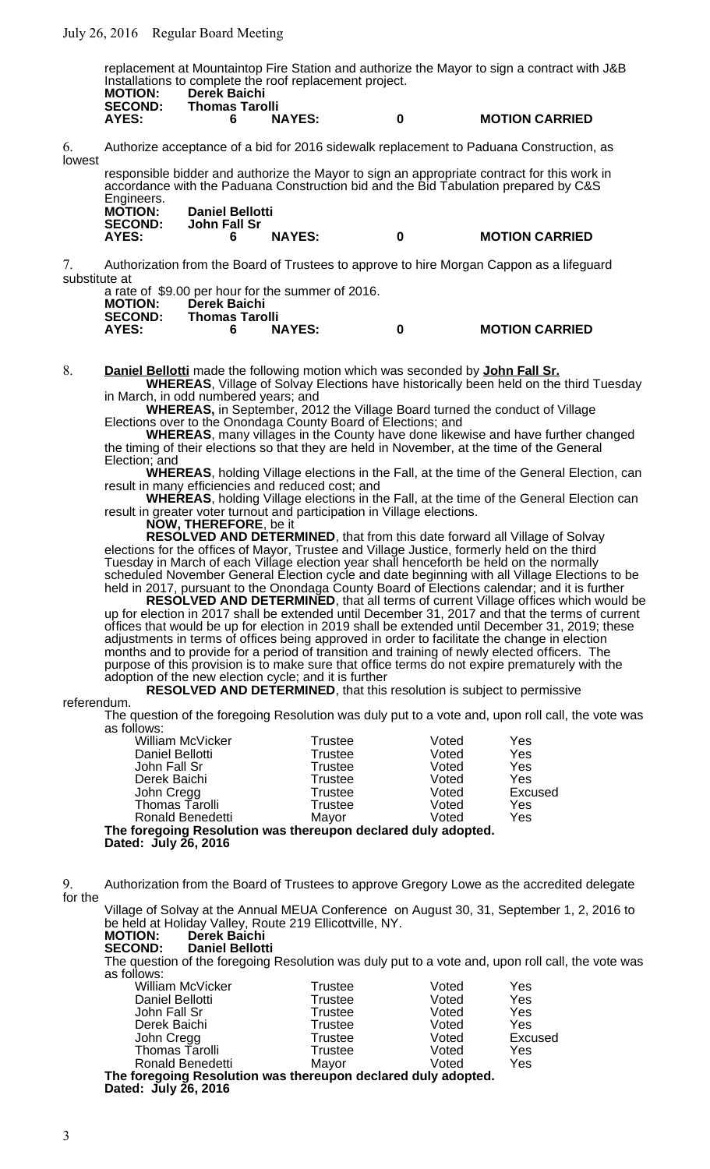replacement at Mountaintop Fire Station and authorize the Mayor to sign a contract with J&B Installations to complete the roof replacement project.

| <b>MOTION:</b><br><b>SECOND:</b> | <b>Derek Baichi</b><br><b>Thomas Tarolli</b> |               |   |                       |
|----------------------------------|----------------------------------------------|---------------|---|-----------------------|
| AYES:                            |                                              | <b>NAYES:</b> | 0 | <b>MOTION CARRIED</b> |

6. Authorize acceptance of a bid for 2016 sidewalk replacement to Paduana Construction, as lowest

responsible bidder and authorize the Mayor to sign an appropriate contract for this work in accordance with the Paduana Construction bid and the Bid Tabulation prepared by C&S

| Engineers.     |                        |   |                       |
|----------------|------------------------|---|-----------------------|
| <b>MOTION:</b> | <b>Daniel Bellotti</b> |   |                       |
| <b>SECOND:</b> | John Fall Sr           |   |                       |
| AYES:          | <b>NAYES:</b>          | 0 | <b>MOTION CARRIED</b> |

7. Authorization from the Board of Trustees to approve to hire Morgan Cappon as a lifeguard substitute at

a rate of \$9.00 per hour for the summer of 2016.

| <b>NAYES:</b> | -0                             | <b>MOTION CARRIED</b>                                                                                                                                      |
|---------------|--------------------------------|------------------------------------------------------------------------------------------------------------------------------------------------------------|
|               | Derek Baichi<br>Thomas Tarolli | $\alpha$ rate of $\phi$ . $\alpha$ , $\beta$ , $\alpha$ , $\alpha$ , $\alpha$ , $\alpha$ , $\alpha$ , $\alpha$ , $\alpha$ , $\alpha$ , $\alpha$ , $\alpha$ |

8. **Daniel Bellotti** made the following motion which was seconded by **John Fall Sr.**

**WHEREAS**, Village of Solvay Elections have historically been held on the third Tuesday in March, in odd numbered years; and

**WHEREAS,** in September, 2012 the Village Board turned the conduct of Village Elections over to the Onondaga County Board of Elections; and

**WHEREAS**, many villages in the County have done likewise and have further changed the timing of their elections so that they are held in November, at the time of the General Election; and

**WHEREAS**, holding Village elections in the Fall, at the time of the General Election, can result in many efficiencies and reduced cost; and

**WHEREAS**, holding Village elections in the Fall, at the time of the General Election can result in greater voter turnout and participation in Village elections.

**NOW, THEREFORE**, be it

**RESOLVED AND DETERMINED**, that from this date forward all Village of Solvay elections for the offices of Mayor, Trustee and Village Justice, formerly held on the third Tuesday in March of each Village election year shall henceforth be held on the normally scheduled November General Election cycle and date beginning with all Village Elections to be held in 2017, pursuant to the Onondaga County Board of Elections calendar; and it is further

**RESOLVED AND DETERMINED**, that all terms of current Village offices which would be up for election in 2017 shall be extended until December 31, 2017 and that the terms of current offices that would be up for election in 2019 shall be extended until December 31, 2019; these adjustments in terms of offices being approved in order to facilitate the change in election months and to provide for a period of transition and training of newly elected officers. The purpose of this provision is to make sure that office terms do not expire prematurely with the adoption of the new election cycle; and it is further

**RESOLVED AND DETERMINED, that this resolution is subject to permissive** 

# referendum.

The question of the foregoing Resolution was duly put to a vote and, upon roll call, the vote was as follows:

| <b>William McVicker</b>                                       | Trustee        | Voted | Yes     |  |  |
|---------------------------------------------------------------|----------------|-------|---------|--|--|
| Daniel Bellotti                                               | <b>Trustee</b> | Voted | Yes     |  |  |
| John Fall Sr                                                  | <b>Trustee</b> | Voted | Yes     |  |  |
| Derek Baichi                                                  | Trustee        | Voted | Yes     |  |  |
| John Cregg                                                    | Trustee        | Voted | Excused |  |  |
| Thomas Tarolli                                                | Trustee        | Voted | Yes     |  |  |
| <b>Ronald Benedetti</b>                                       | Mayor          | Voted | Yes     |  |  |
| The foregoing Resolution was thereupon declared duly adopted. |                |       |         |  |  |

**Dated: July 26, 2016**

9. Authorization from the Board of Trustees to approve Gregory Lowe as the accredited delegate for the

Village of Solvay at the Annual MEUA Conference on August 30, 31, September 1, 2, 2016 to be held at Holiday Valley, Route 219 Ellicottville, NY.<br> **MOTION:** Derek Baichi

#### **MOTION: Derek Baichi SECOND: Daniel Bellotti**

The question of the foregoing Resolution was duly put to a vote and, upon roll call, the vote was as follows:

| <b>William McVicker</b>                                       | <b>Trustee</b> | Voted | Yes     |
|---------------------------------------------------------------|----------------|-------|---------|
| Daniel Bellotti                                               | <b>Trustee</b> | Voted | Yes     |
| John Fall Sr                                                  | <b>Trustee</b> | Voted | Yes     |
| Derek Baichi                                                  | Trustee        | Voted | Yes     |
| John Cregg                                                    | <b>Trustee</b> | Voted | Excused |
| Thomas Tarolli                                                | <b>Trustee</b> | Voted | Yes     |
| <b>Ronald Benedetti</b>                                       | Mayor          | Voted | Yes     |
| The foregoing Resolution was thereupon declared duly adopted. |                |       |         |
| Dated: July 26, 2016                                          |                |       |         |